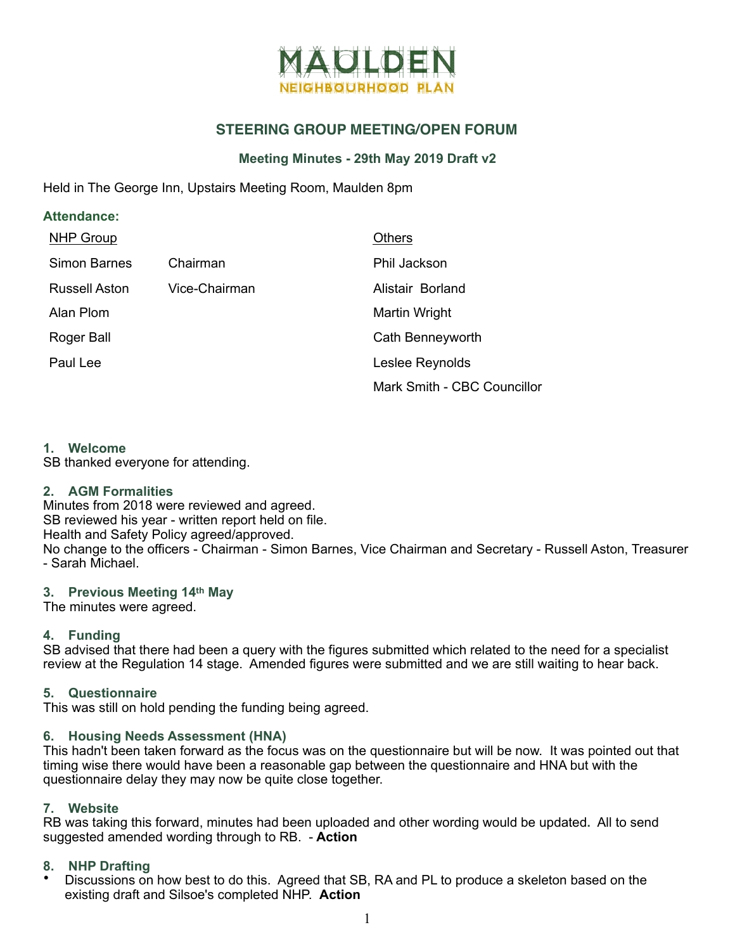

# **STEERING GROUP MEETING/OPEN FORUM**

## **Meeting Minutes - 29th May 2019 Draft v2**

Held in The George Inn, Upstairs Meeting Room, Maulden 8pm

| <b>Attendance:</b>   |               |                             |  |
|----------------------|---------------|-----------------------------|--|
| <b>NHP Group</b>     |               | <b>Others</b>               |  |
| <b>Simon Barnes</b>  | Chairman      | Phil Jackson                |  |
| <b>Russell Aston</b> | Vice-Chairman | Alistair Borland            |  |
| Alan Plom            |               | Martin Wright               |  |
| Roger Ball           |               | Cath Benneyworth            |  |
| Paul Lee             |               | Leslee Reynolds             |  |
|                      |               | Mark Smith - CBC Councillor |  |

### **1. Welcome**

SB thanked everyone for attending.

### **2. AGM Formalities**

Minutes from 2018 were reviewed and agreed. SB reviewed his year - written report held on file. Health and Safety Policy agreed/approved. No change to the officers - Chairman - Simon Barnes, Vice Chairman and Secretary - Russell Aston, Treasurer - Sarah Michael.

### **3. Previous Meeting 14th May**

The minutes were agreed.

### **4. Funding**

SB advised that there had been a query with the figures submitted which related to the need for a specialist review at the Regulation 14 stage. Amended figures were submitted and we are still waiting to hear back.

### **5. Questionnaire**

This was still on hold pending the funding being agreed.

### **6. Housing Needs Assessment (HNA)**

This hadn't been taken forward as the focus was on the questionnaire but will be now. It was pointed out that timing wise there would have been a reasonable gap between the questionnaire and HNA but with the questionnaire delay they may now be quite close together.

### **7. Website**

RB was taking this forward, minutes had been uploaded and other wording would be updated**.** All to send suggested amended wording through to RB. - **Action**

### **8. NHP Drafting**

• Discussions on how best to do this. Agreed that SB, RA and PL to produce a skeleton based on the existing draft and Silsoe's completed NHP. **Action**